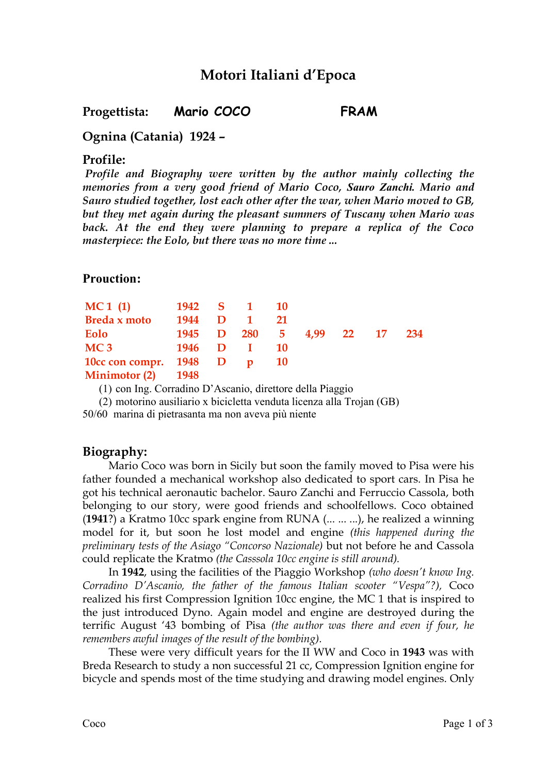# **Motori Italiani d'Epoca**

### **Progettista: Mario COCO FRAM**

## **Ognina (Catania) 1924 –**

#### **Profile:**

*Profile and Biography were written by the author mainly collecting the memories from a very good friend of Mario Coco, Sauro Zanchi. Mario and Sauro studied together, lost each other after the war, when Mario moved to GB, but they met again during the pleasant summers of Tuscany when Mario was back. At the end they were planning to prepare a replica of the Coco masterpiece: the Eolo, but there was no more time ...*

### **Prouction:**

| MC1(1)                   |          | 1942 S 1 10 |           |                             |  |  |
|--------------------------|----------|-------------|-----------|-----------------------------|--|--|
| Breda x moto             | 1944     | D 1         | 21        |                             |  |  |
| Eolo                     |          |             |           | 1945 D 280 5 4,99 22 17 234 |  |  |
| MC <sub>3</sub>          | 1946 D I |             | <b>10</b> |                             |  |  |
| 10cc con compr. 1948 D p |          |             | <b>10</b> |                             |  |  |
| Minimotor $(2)$ 1948     |          |             |           |                             |  |  |

(1) con Ing. Corradino D'Ascanio, direttore della Piaggio

(2) motorino ausiliario x bicicletta venduta licenza alla Trojan (GB)

50/60 marina di pietrasanta ma non aveva più niente

# **Biography:**

Mario Coco was born in Sicily but soon the family moved to Pisa were his father founded a mechanical workshop also dedicated to sport cars. In Pisa he got his technical aeronautic bachelor. Sauro Zanchi and Ferruccio Cassola, both belonging to our story, were good friends and schoolfellows. Coco obtained (**1941**?) a Kratmo 10cc spark engine from RUNA (... ... ...), he realized a winning model for it, but soon he lost model and engine *(this happened during the preliminary tests of the Asiago "Concorso Nazionale)* but not before he and Cassola could replicate the Kratmo *(the Casssola 10cc engine is still around).*

In **1942**, using the facilities of the Piaggio Workshop *(who doesn't know Ing. Corradino D'Ascanio, the father of the famous Italian scooter "Vespa"?),* Coco realized his first Compression Ignition 10cc engine, the MC 1 that is inspired to the just introduced Dyno. Again model and engine are destroyed during the terrific August '43 bombing of Pisa *(the author was there and even if four, he remembers awful images of the result of the bombing).*

These were very difficult years for the II WW and Coco in **1943** was with Breda Research to study a non successful 21 cc, Compression Ignition engine for bicycle and spends most of the time studying and drawing model engines. Only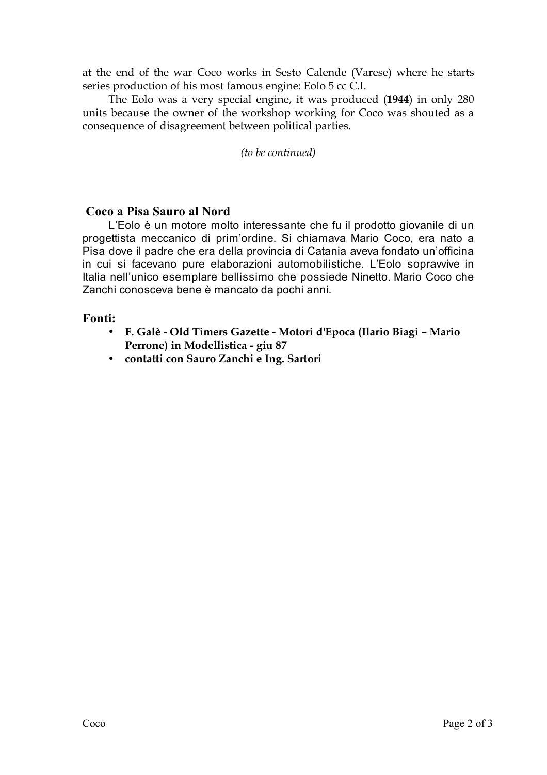at the end of the war Coco works in Sesto Calende (Varese) where he starts series production of his most famous engine: Eolo 5 cc C.I.

The Eolo was a very special engine, it was produced (**1944**) in only 280 units because the owner of the workshop working for Coco was shouted as a consequence of disagreement between political parties.

*(to be continued)*

### **Coco a Pisa Sauro al Nord**

L'Eolo è un motore molto interessante che fu il prodotto giovanile di un progettista meccanico di prim'ordine. Si chiamava Mario Coco, era nato a Pisa dove il padre che era della provincia di Catania aveva fondato un'officina in cui si facevano pure elaborazioni automobilistiche. L'Eolo sopravvive in Italia nell'unico esemplare bellissimo che possiede Ninetto. Mario Coco che Zanchi conosceva bene è mancato da pochi anni.

### **Fonti:**

- **F. Galè - Old Timers Gazette - Motori d'Epoca (Ilario Biagi – Mario Perrone) in Modellistica - giu 87**
- **contatti con Sauro Zanchi e Ing. Sartori**